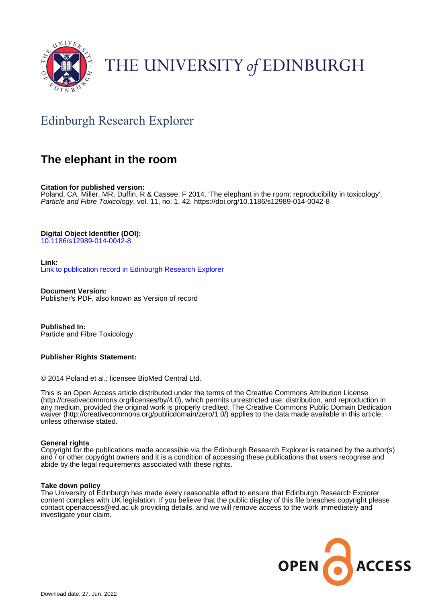

# THE UNIVERSITY of EDINBURGH

# Edinburgh Research Explorer

# **The elephant in the room**

**Citation for published version:**

Poland, CA, Miller, MR, Duffin, R & Cassee, F 2014, 'The elephant in the room: reproducibility in toxicology', Particle and Fibre Toxicology, vol. 11, no. 1, 42. <https://doi.org/10.1186/s12989-014-0042-8>

**Digital Object Identifier (DOI):**

[10.1186/s12989-014-0042-8](https://doi.org/10.1186/s12989-014-0042-8)

**Link:** [Link to publication record in Edinburgh Research Explorer](https://www.research.ed.ac.uk/en/publications/23e8283b-e655-4dc4-8b75-992340afafea)

**Document Version:** Publisher's PDF, also known as Version of record

**Published In:** Particle and Fibre Toxicology

## **Publisher Rights Statement:**

© 2014 Poland et al.; licensee BioMed Central Ltd.

This is an Open Access article distributed under the terms of the Creative Commons Attribution License (http://creativecommons.org/licenses/by/4.0), which permits unrestricted use, distribution, and reproduction in any medium, provided the original work is properly credited. The Creative Commons Public Domain Dedication waiver (http://creativecommons.org/publicdomain/zero/1.0/) applies to the data made available in this article, unless otherwise stated.

## **General rights**

Copyright for the publications made accessible via the Edinburgh Research Explorer is retained by the author(s) and / or other copyright owners and it is a condition of accessing these publications that users recognise and abide by the legal requirements associated with these rights.

### **Take down policy**

The University of Edinburgh has made every reasonable effort to ensure that Edinburgh Research Explorer content complies with UK legislation. If you believe that the public display of this file breaches copyright please contact openaccess@ed.ac.uk providing details, and we will remove access to the work immediately and investigate your claim.

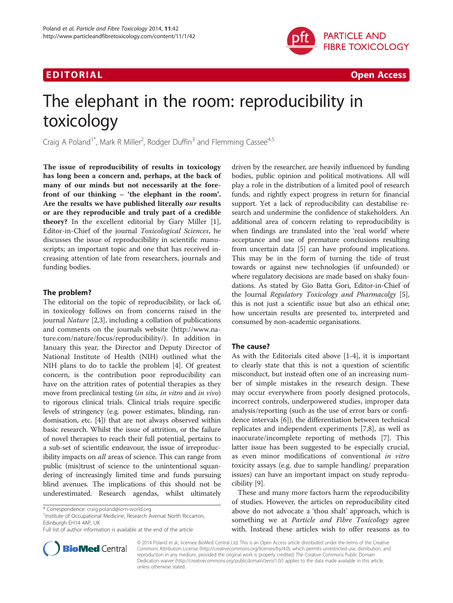## EDITORIAL AND INTERNATIONAL CONTRACT CONTRACT CONTRACT CONTRACT CONTRACT CONTRACT CONTRACT CONTRACT CONTRACT CO



# The elephant in the room: reproducibility in toxicology

Craig A Poland<sup>1\*</sup>, Mark R Miller<sup>2</sup>, Rodger Duffin<sup>3</sup> and Flemming Cassee<sup>4,5</sup>

The issue of reproducibility of results in toxicology has long been a concern and, perhaps, at the back of many of our minds but not necessarily at the forefront of our thinking – 'the elephant in the room'. Are the results we have published literally our results or are they reproducible and truly part of a credible theory? In the excellent editorial by Gary Miller [\[1](#page-4-0)], Editor-in-Chief of the journal Toxicological Sciences, he discusses the issue of reproducibility in scientific manuscripts; an important topic and one that has received increasing attention of late from researchers, journals and funding bodies.

#### The problem?

The editorial on the topic of reproducibility, or lack of, in toxicology follows on from concerns raised in the journal Nature [\[2,3](#page-4-0)], including a collation of publications and comments on the journals website [\(http://www.na](http://www.nature.com/nature/focus/reproducibility/)[ture.com/nature/focus/reproducibility/](http://www.nature.com/nature/focus/reproducibility/)). In addition in January this year, the Director and Deputy Director of National Institute of Health (NIH) outlined what the NIH plans to do to tackle the problem [[4\]](#page-4-0). Of greatest concern, is the contribution poor reproducibility can have on the attrition rates of potential therapies as they move from preclinical testing *(in situ, in vitro* and *in vivo)* to rigorous clinical trials. Clinical trials require specific levels of stringency (e.g. power estimates, blinding, randomisation, etc. [[4\]](#page-4-0)) that are not always observed within basic research. Whilst the issue of attrition, or the failure of novel therapies to reach their full potential, pertains to a sub-set of scientific endeavour, the issue of irreproducibility impacts on all areas of science. This can range from public (mis)trust of science to the unintentional squandering of increasingly limited time and funds pursuing blind avenues. The implications of this should not be underestimated. Research agendas, whilst ultimately

<sup>1</sup>Institute of Occupational Medicine, Research Avenue North Riccarton, Edinburgh EH14 4AP, UK



#### The cause?

As with the Editorials cited above [\[1-4](#page-4-0)], it is important to clearly state that this is not a question of scientific misconduct, but instead often one of an increasing number of simple mistakes in the research design. These may occur everywhere from poorly designed protocols, incorrect controls, underpowered studies, improper data analysis/reporting (such as the use of error bars or confidence intervals [\[6](#page-4-0)]), the differentiation between technical replicates and independent experiments [\[7,8](#page-4-0)], as well as inaccurate/incomplete reporting of methods [\[7](#page-4-0)]. This latter issue has been suggested to be especially crucial, as even minor modifications of conventional in vitro toxicity assays (e.g. due to sample handling/ preparation issues) can have an important impact on study reproducibility [\[9](#page-4-0)].

These and many more factors harm the reproducibility of studies. However, the articles on reproducibility cited above do not advocate a 'thou shalt' approach, which is something we at Particle and Fibre Toxicology agree with. Instead these articles wish to offer reasons as to



© 2014 Poland et al.; licensee BioMed Central Ltd. This is an Open Access article distributed under the terms of the Creative Commons Attribution License [\(http://creativecommons.org/licenses/by/4.0\)](http://creativecommons.org/licenses/by/4.0), which permits unrestricted use, distribution, and reproduction in any medium, provided the original work is properly credited. The Creative Commons Public Domain Dedication waiver [\(http://creativecommons.org/publicdomain/zero/1.0/](http://creativecommons.org/publicdomain/zero/1.0/)) applies to the data made available in this article, unless otherwise stated.

<sup>\*</sup> Correspondence: [craig.poland@iom-world.org](mailto:craig.poland@iom-world.org) <sup>1</sup>

Full list of author information is available at the end of the article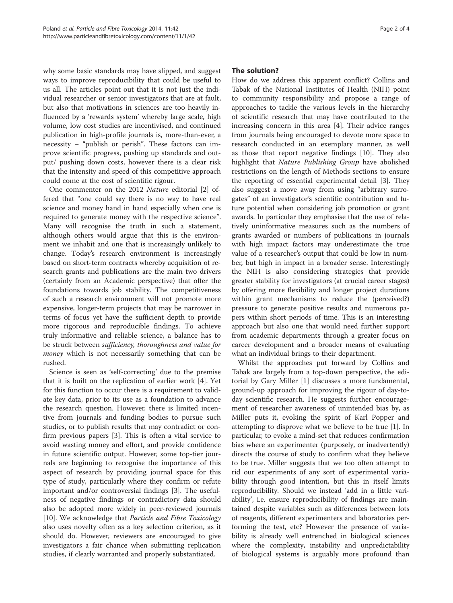why some basic standards may have slipped, and suggest ways to improve reproducibility that could be useful to us all. The articles point out that it is not just the individual researcher or senior investigators that are at fault, but also that motivations in sciences are too heavily influenced by a 'rewards system' whereby large scale, high volume, low cost studies are incentivised, and continued publication in high-profile journals is, more-than-ever, a necessity – "publish or perish". These factors can improve scientific progress, pushing up standards and output/ pushing down costs, however there is a clear risk that the intensity and speed of this competitive approach could come at the cost of scientific rigour.

One commenter on the 2012 Nature editorial [[2\]](#page-4-0) offered that "one could say there is no way to have real science and money hand in hand especially when one is required to generate money with the respective science". Many will recognise the truth in such a statement, although others would argue that this is the environment we inhabit and one that is increasingly unlikely to change. Today's research environment is increasingly based on short-term contracts whereby acquisition of research grants and publications are the main two drivers (certainly from an Academic perspective) that offer the foundations towards job stability. The competitiveness of such a research environment will not promote more expensive, longer-term projects that may be narrower in terms of focus yet have the sufficient depth to provide more rigorous and reproducible findings. To achieve truly informative and reliable science, a balance has to be struck between sufficiency, thoroughness and value for money which is not necessarily something that can be rushed.

Science is seen as 'self-correcting' due to the premise that it is built on the replication of earlier work [\[4\]](#page-4-0). Yet for this function to occur there is a requirement to validate key data, prior to its use as a foundation to advance the research question. However, there is limited incentive from journals and funding bodies to pursue such studies, or to publish results that may contradict or confirm previous papers [\[3\]](#page-4-0). This is often a vital service to avoid wasting money and effort, and provide confidence in future scientific output. However, some top-tier journals are beginning to recognise the importance of this aspect of research by providing journal space for this type of study, particularly where they confirm or refute important and/or controversial findings [[3\]](#page-4-0). The usefulness of negative findings or contradictory data should also be adopted more widely in peer-reviewed journals [[10\]](#page-4-0). We acknowledge that Particle and Fibre Toxicology also uses novelty often as a key selection criterion, as it should do. However, reviewers are encouraged to give investigators a fair chance when submitting replication studies, if clearly warranted and properly substantiated.

#### The solution?

How do we address this apparent conflict? Collins and Tabak of the National Institutes of Health (NIH) point to community responsibility and propose a range of approaches to tackle the various levels in the hierarchy of scientific research that may have contributed to the increasing concern in this area [[4\]](#page-4-0). Their advice ranges from journals being encouraged to devote more space to research conducted in an exemplary manner, as well as those that report negative findings [[10](#page-4-0)]. They also highlight that Nature Publishing Group have abolished restrictions on the length of Methods sections to ensure the reporting of essential experimental detail [\[3](#page-4-0)]. They also suggest a move away from using "arbitrary surrogates" of an investigator's scientific contribution and future potential when considering job promotion or grant awards. In particular they emphasise that the use of relatively uninformative measures such as the numbers of grants awarded or numbers of publications in journals with high impact factors may underestimate the true value of a researcher's output that could be low in number, but high in impact in a broader sense. Interestingly the NIH is also considering strategies that provide greater stability for investigators (at crucial career stages) by offering more flexibility and longer project durations within grant mechanisms to reduce the (perceived?) pressure to generate positive results and numerous papers within short periods of time. This is an interesting approach but also one that would need further support from academic departments through a greater focus on career development and a broader means of evaluating what an individual brings to their department.

Whilst the approaches put forward by Collins and Tabak are largely from a top-down perspective, the editorial by Gary Miller [[1\]](#page-4-0) discusses a more fundamental, ground-up approach for improving the rigour of day-today scientific research. He suggests further encouragement of researcher awareness of unintended bias by, as Miller puts it, evoking the spirit of Karl Popper and attempting to disprove what we believe to be true [[1](#page-4-0)]. In particular, to evoke a mind-set that reduces confirmation bias where an experimenter (purposely, or inadvertently) directs the course of study to confirm what they believe to be true. Miller suggests that we too often attempt to rid our experiments of any sort of experimental variability through good intention, but this in itself limits reproducibility. Should we instead 'add in a little variability', i.e. ensure reproducibility of findings are maintained despite variables such as differences between lots of reagents, different experimenters and laboratories performing the test, etc? However the presence of variability is already well entrenched in biological sciences where the complexity, instability and unpredictability of biological systems is arguably more profound than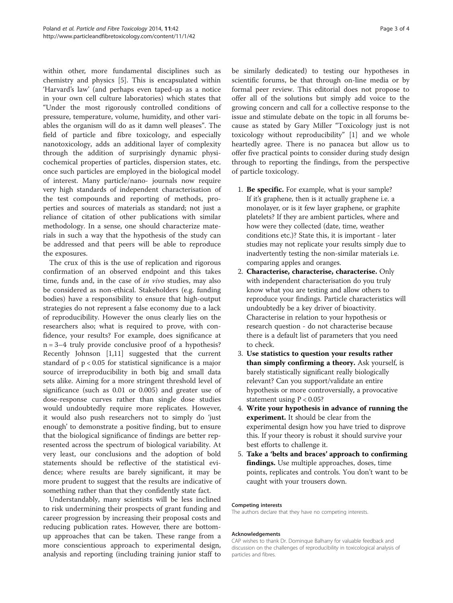within other, more fundamental disciplines such as chemistry and physics [\[5](#page-4-0)]. This is encapsulated within 'Harvard's law' (and perhaps even taped-up as a notice in your own cell culture laboratories) which states that "Under the most rigorously controlled conditions of pressure, temperature, volume, humidity, and other variables the organism will do as it damn well pleases". The field of particle and fibre toxicology, and especially nanotoxicology, adds an additional layer of complexity through the addition of surprisingly dynamic physicochemical properties of particles, dispersion states, etc. once such particles are employed in the biological model of interest. Many particle/nano- journals now require very high standards of independent characterisation of the test compounds and reporting of methods, properties and sources of materials as standard; not just a reliance of citation of other publications with similar methodology. In a sense, one should characterize materials in such a way that the hypothesis of the study can be addressed and that peers will be able to reproduce the exposures.

The crux of this is the use of replication and rigorous confirmation of an observed endpoint and this takes time, funds and, in the case of *in vivo* studies, may also be considered as non-ethical. Stakeholders (e.g. funding bodies) have a responsibility to ensure that high-output strategies do not represent a false economy due to a lack of reproducibility. However the onus clearly lies on the researchers also; what is required to prove, with confidence, your results? For example, does significance at  $n=3-4$  truly provide conclusive proof of a hypothesis? Recently Johnson [[1,11](#page-4-0)] suggested that the current standard of  $p < 0.05$  for statistical significance is a major source of irreproducibility in both big and small data sets alike. Aiming for a more stringent threshold level of significance (such as 0.01 or 0.005) and greater use of dose-response curves rather than single dose studies would undoubtedly require more replicates. However, it would also push researchers not to simply do 'just enough' to demonstrate a positive finding, but to ensure that the biological significance of findings are better represented across the spectrum of biological variability. At very least, our conclusions and the adoption of bold statements should be reflective of the statistical evidence; where results are barely significant, it may be more prudent to suggest that the results are indicative of something rather than that they confidently state fact.

Understandably, many scientists will be less inclined to risk undermining their prospects of grant funding and career progression by increasing their proposal costs and reducing publication rates. However, there are bottomup approaches that can be taken. These range from a more conscientious approach to experimental design, analysis and reporting (including training junior staff to be similarly dedicated) to testing our hypotheses in scientific forums, be that through on-line media or by formal peer review. This editorial does not propose to offer all of the solutions but simply add voice to the growing concern and call for a collective response to the issue and stimulate debate on the topic in all forums because as stated by Gary Miller "Toxicology just is not toxicology without reproducibility" [\[1](#page-4-0)] and we whole heartedly agree. There is no panacea but allow us to offer five practical points to consider during study design through to reporting the findings, from the perspective of particle toxicology.

- 1. Be specific. For example, what is your sample? If it's graphene, then is it actually graphene i.e. a monolayer, or is it few layer graphene, or graphite platelets? If they are ambient particles, where and how were they collected (date, time, weather conditions etc.)? State this, it is important - later studies may not replicate your results simply due to inadvertently testing the non-similar materials i.e. comparing apples and oranges.
- 2. Characterise, characterise, characterise. Only with independent characterisation do you truly know what you are testing and allow others to reproduce your findings. Particle characteristics will undoubtedly be a key driver of bioactivity. Characterise in relation to your hypothesis or research question - do not characterise because there is a default list of parameters that you need to check.
- 3. Use statistics to question your results rather than simply confirming a theory. Ask yourself, is barely statistically significant really biologically relevant? Can you support/validate an entire hypothesis or more controversially, a provocative statement using  $P < 0.05$ ?
- 4. Write your hypothesis in advance of running the experiment. It should be clear from the experimental design how you have tried to disprove this. If your theory is robust it should survive your best efforts to challenge it.
- 5. Take a 'belts and braces' approach to confirming findings. Use multiple approaches, doses, time points, replicates and controls. You don't want to be caught with your trousers down.

#### Competing interests

The authors declare that they have no competing interests.

#### Acknowledgements

CAP wishes to thank Dr. Dominque Balharry for valuable feedback and discussion on the challenges of reproducibility in toxicological analysis of particles and fibres.